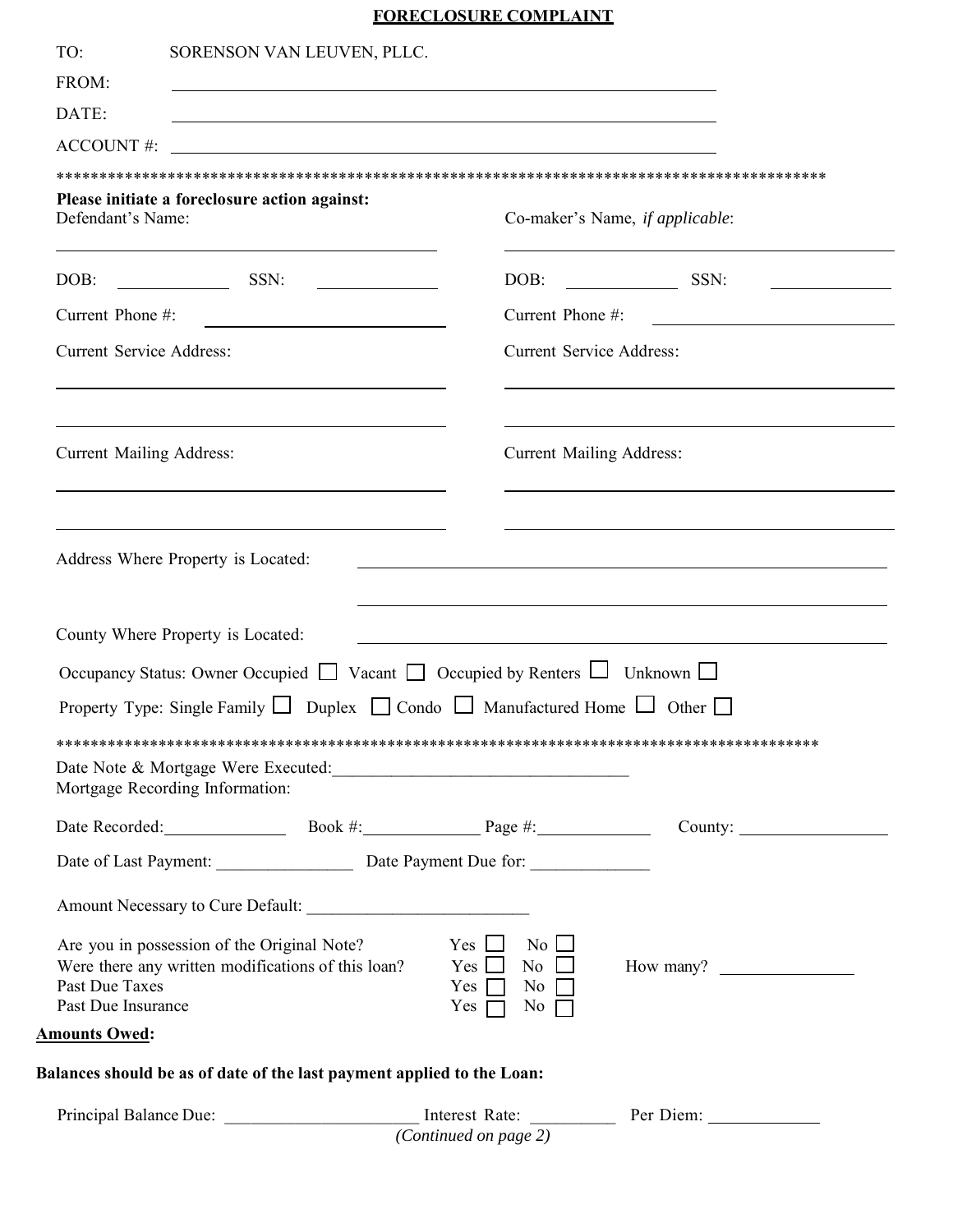## **FORECLOSURE COMPLAINT**

| TO:                                  | SORENSON VAN LEUVEN, PLLC.                                                                                                                                   |                                                                                                                      |                                                                                                                                                                                                                                                |
|--------------------------------------|--------------------------------------------------------------------------------------------------------------------------------------------------------------|----------------------------------------------------------------------------------------------------------------------|------------------------------------------------------------------------------------------------------------------------------------------------------------------------------------------------------------------------------------------------|
| FROM:                                |                                                                                                                                                              | <u> 1980 - Andrea Brasil, amerikan basar basal dan berasal dalam basal dalam basal dalam basal dalam basal dalam</u> |                                                                                                                                                                                                                                                |
| DATE:                                |                                                                                                                                                              | <u> 1989 - Andrea Santa Andrea Andrea Santa Andrea Andrea Andrea Andrea Andrea Andrea Andrea Andrea Andrea Andre</u> |                                                                                                                                                                                                                                                |
| ACCOUNT#:                            |                                                                                                                                                              |                                                                                                                      |                                                                                                                                                                                                                                                |
|                                      |                                                                                                                                                              |                                                                                                                      |                                                                                                                                                                                                                                                |
| Defendant's Name:                    | Please initiate a foreclosure action against:                                                                                                                |                                                                                                                      | Co-maker's Name, if applicable:                                                                                                                                                                                                                |
|                                      | DOB: SSN:                                                                                                                                                    |                                                                                                                      | DOB: SSN:                                                                                                                                                                                                                                      |
| Current Phone #:                     | <u> 1989 - Johann Barbara, martxa amerikan personal (h. 1989).</u>                                                                                           | Current Phone #:                                                                                                     | <u> 1989 - Jan James James Jan James James James James James James James James James James James James James James</u>                                                                                                                         |
| <b>Current Service Address:</b>      | <u> 1989 - Johann Stoff, amerikansk politiker (d. 1989)</u>                                                                                                  | <b>Current Service Address:</b>                                                                                      |                                                                                                                                                                                                                                                |
| <b>Current Mailing Address:</b>      | <u> 1989 - Johann Stoff, amerikansk politiker (* 1908)</u>                                                                                                   | <b>Current Mailing Address:</b>                                                                                      |                                                                                                                                                                                                                                                |
|                                      | <u> 1989 - Johann Stoff, deutscher Stoffen und der Stoffen und der Stoffen und der Stoffen und der Stoffen und der</u><br>Address Where Property is Located: |                                                                                                                      | <u> 1989 - Johann Stoff, amerikansk politiker (d. 1989)</u><br>and the control of the control of the control of the control of the control of the control of the control of the<br><u> 1989 - Johann Stoff, amerikansk politiker (d. 1989)</u> |
|                                      | County Where Property is Located:                                                                                                                            |                                                                                                                      |                                                                                                                                                                                                                                                |
|                                      | Occupancy Status: Owner Occupied $\Box$ Vacant $\Box$ Occupied by Renters $\Box$ Unknown $\Box$                                                              |                                                                                                                      |                                                                                                                                                                                                                                                |
|                                      | Property Type: Single Family $\Box$ Duplex $\Box$ Condo $\Box$ Manufactured Home $\Box$ Other $\Box$                                                         |                                                                                                                      |                                                                                                                                                                                                                                                |
|                                      | Date Note & Mortgage Were Executed:<br><u>Date Note &amp; Mortgage Were Executed:</u>                                                                        |                                                                                                                      |                                                                                                                                                                                                                                                |
|                                      | Mortgage Recording Information:                                                                                                                              |                                                                                                                      |                                                                                                                                                                                                                                                |
|                                      |                                                                                                                                                              |                                                                                                                      | Date Recorded: Book #: Book #: Page #: County:                                                                                                                                                                                                 |
|                                      | Date of Last Payment: Date Payment Due for:                                                                                                                  |                                                                                                                      |                                                                                                                                                                                                                                                |
|                                      |                                                                                                                                                              |                                                                                                                      |                                                                                                                                                                                                                                                |
| Past Due Taxes<br>Past Due Insurance | Are you in possession of the Original Note?<br>Were there any written modifications of this loan?                                                            | $Yes \Box No \Box$<br>$Yes \Box No \Box$<br>Yes $\Box$ No $\Box$<br>Yes $\Box$ No $\Box$                             | How many?                                                                                                                                                                                                                                      |
| <b>Amounts Owed:</b>                 |                                                                                                                                                              |                                                                                                                      |                                                                                                                                                                                                                                                |
|                                      | Balances should be as of date of the last payment applied to the Loan:                                                                                       |                                                                                                                      |                                                                                                                                                                                                                                                |
|                                      |                                                                                                                                                              | (Continued on page 2)                                                                                                | Principal Balance Due: ____________________________ Interest Rate: _____________ Per Diem: _______________                                                                                                                                     |